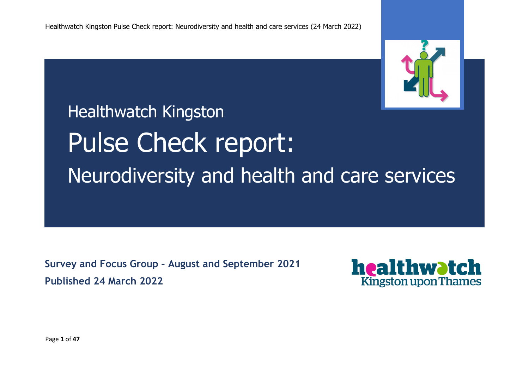

# Healthwatch Kingston Pulse Check report: Neurodiversity and health and care services

**Survey and Focus Group – August and September 2021 Published 24 March 2022**



Page **1** of **47**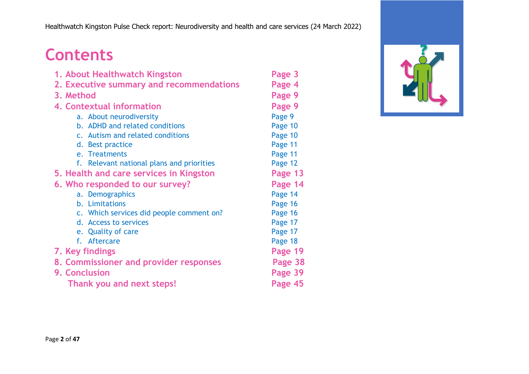# **Contents**

| 1. About Healthwatch Kingston             | Page 3  |
|-------------------------------------------|---------|
| 2. Executive summary and recommendations  | Page 4  |
| 3. Method                                 | Page 9  |
| 4. Contextual information                 | Page 9  |
| a. About neurodiversity                   | Page 9  |
| b. ADHD and related conditions            | Page 10 |
| c. Autism and related conditions          | Page 10 |
| d. Best practice                          | Page 11 |
| e. Treatments                             | Page 11 |
| f. Relevant national plans and priorities | Page 12 |
| 5. Health and care services in Kingston   | Page 13 |
| 6. Who responded to our survey?           | Page 14 |
| a. Demographics                           | Page 14 |
| b. Limitations                            | Page 16 |
| c. Which services did people comment on?  | Page 16 |
| d. Access to services                     | Page 17 |
| e. Quality of care                        | Page 17 |
| f. Aftercare                              | Page 18 |
| 7. Key findings                           | Page 19 |
| 8. Commissioner and provider responses    | Page 38 |
| 9. Conclusion                             | Page 39 |
| Thank you and next steps!                 | Page 45 |

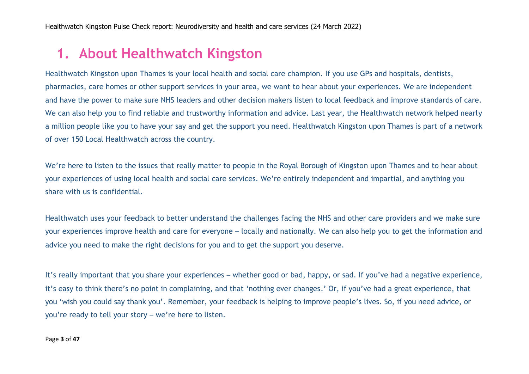# **1. About Healthwatch Kingston**

Healthwatch Kingston upon Thames is your local health and social care champion. If you use GPs and hospitals, dentists, pharmacies, care homes or other support services in your area, we want to hear about your experiences. We are independent and have the power to make sure NHS leaders and other decision makers listen to local feedback and improve standards of care. We can also help you to find reliable and trustworthy information and advice. Last year, the Healthwatch network helped nearly a million people like you to have your say and get the support you need. Healthwatch Kingston upon Thames is part of a network of over 150 Local Healthwatch across the country.

We're here to listen to the issues that really matter to people in the Royal Borough of Kingston upon Thames and to hear about your experiences of using local health and social care services. We're entirely independent and impartial, and anything you share with us is confidential.

Healthwatch uses your feedback to better understand the challenges facing the NHS and other care providers and we make sure your experiences improve health and care for everyone – locally and nationally. We can also help you to get the information and advice you need to make the right decisions for you and to get the support you deserve.

It's really important that you share your experiences – whether good or bad, happy, or sad. If you've had a negative experience, it's easy to think there's no point in complaining, and that 'nothing ever changes.' Or, if you've had a great experience, that you 'wish you could say thank you'. Remember, your feedback is helping to improve people's lives. So, if you need advice, or you're ready to tell your story – we're here to listen.

#### Page **3** of **47**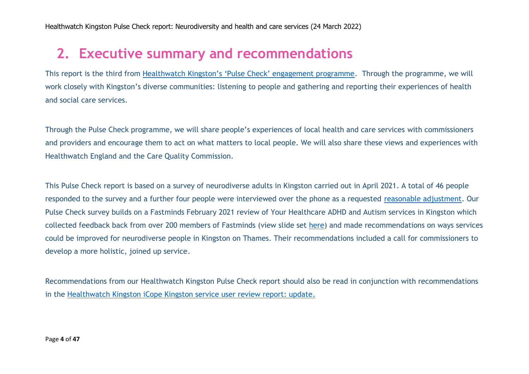# **2. Executive summary and recommendations**

This report is the third from [Healthwatch Kingston's 'Pulse Check' engagement programme](https://www.healthwatchkingston.org.uk/news/2022-03-11/healthwatch-kingston-pulse-check-programme). Through the programme, we will work closely with Kingston's diverse communities: listening to people and gathering and reporting their experiences of health and social care services.

Through the Pulse Check programme, we will share people's experiences of local health and care services with commissioners and providers and encourage them to act on what matters to local people. We will also share these views and experiences with Healthwatch England and the Care Quality Commission.

This Pulse Check report is based on a survey of neurodiverse adults in Kingston carried out in April 2021. A total of 46 people responded to the survey and a further four people were interviewed over the phone as a requested [reasonable adjustment.](https://www.equalityhumanrights.com/en/advice-and-guidance/what-are-reasonable-adjustments) Our Pulse Check survey builds on a Fastminds February 2021 review of Your Healthcare ADHD and Autism services in Kingston which collected feedback back from over 200 members of Fastminds (view slide set [here\)](https://adhdkingston.org.uk/wp-content/uploads/2022/03/2021-02-25-Healthwatch-re.-Kingston-ADHD-Service-Rev5.pdf) and made recommendations on ways services could be improved for neurodiverse people in Kingston on Thames. Their recommendations included a call for commissioners to develop a more holistic, joined up service.

Recommendations from our Healthwatch Kingston Pulse Check report should also be read in conjunction with recommendations in the [Healthwatch Kingston iCope Kingston service user review report: update.](https://www.healthwatchkingston.org.uk/report/2022-03-05/icope-kingston-service-user-review-report-update)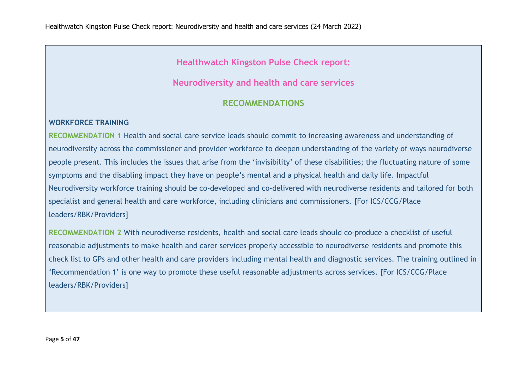### **Healthwatch Kingston Pulse Check report:**

### **Neurodiversity and health and care services**

### **RECOMMENDATIONS**

#### **WORKFORCE TRAINING**

**RECOMMENDATION 1** Health and social care service leads should commit to increasing awareness and understanding of neurodiversity across the commissioner and provider workforce to deepen understanding of the variety of ways neurodiverse people present. This includes the issues that arise from the 'invisibility' of these disabilities; the fluctuating nature of some symptoms and the disabling impact they have on people's mental and a physical health and daily life. Impactful Neurodiversity workforce training should be co-developed and co-delivered with neurodiverse residents and tailored for both specialist and general health and care workforce, including clinicians and commissioners. [For ICS/CCG/Place leaders/RBK/Providers]

**RECOMMENDATION 2** With neurodiverse residents, health and social care leads should co-produce a checklist of useful reasonable adjustments to make health and carer services properly accessible to neurodiverse residents and promote this check list to GPs and other health and care providers including mental health and diagnostic services. The training outlined in 'Recommendation 1' is one way to promote these useful reasonable adjustments across services. [For ICS/CCG/Place leaders/RBK/Providers]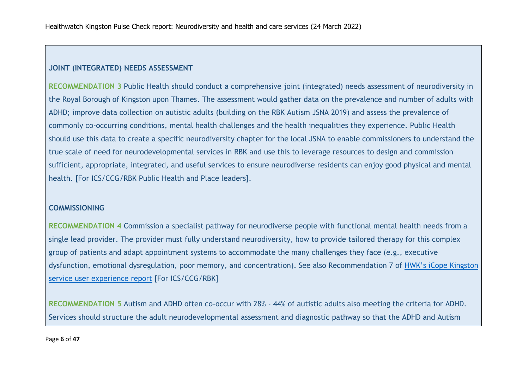#### **JOINT (INTEGRATED) NEEDS ASSESSMENT**

**RECOMMENDATION 3** Public Health should conduct a comprehensive joint (integrated) needs assessment of neurodiversity in the Royal Borough of Kingston upon Thames. The assessment would gather data on the prevalence and number of adults with ADHD; improve data collection on autistic adults (building on the RBK Autism JSNA 2019) and assess the prevalence of commonly co-occurring conditions, mental health challenges and the health inequalities they experience. Public Health should use this data to create a specific neurodiversity chapter for the local JSNA to enable commissioners to understand the true scale of need for neurodevelopmental services in RBK and use this to leverage resources to design and commission sufficient, appropriate, integrated, and useful services to ensure neurodiverse residents can enjoy good physical and mental health. [For ICS/CCG/RBK Public Health and Place leaders].

#### **COMMISSIONING**

**RECOMMENDATION 4** Commission a specialist pathway for neurodiverse people with functional mental health needs from a single lead provider. The provider must fully understand neurodiversity, how to provide tailored therapy for this complex group of patients and adapt appointment systems to accommodate the many challenges they face (e.g., executive dysfunction, emotional dysregulation, poor memory, and concentration). See also Recommendation 7 of [HWK's iCope Kingston](https://www.healthwatchkingston.org.uk/report/2022-03-05/icope-kingston-service-user-review-report-update)  [service user experience report](https://www.healthwatchkingston.org.uk/report/2022-03-05/icope-kingston-service-user-review-report-update) [For ICS/CCG/RBK]

**RECOMMENDATION 5** Autism and ADHD often co-occur with 28% - 44% of autistic adults also meeting the criteria for ADHD. Services should structure the adult neurodevelopmental assessment and diagnostic pathway so that the ADHD and Autism

#### Page **6** of **47**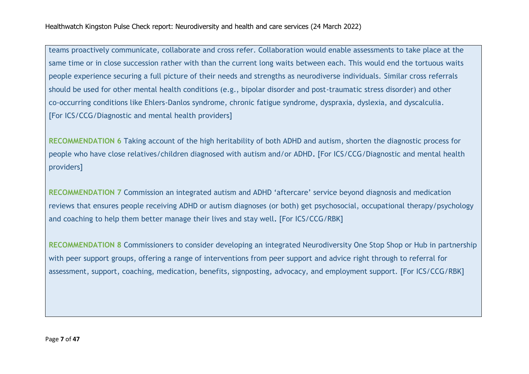teams proactively communicate, collaborate and cross refer. Collaboration would enable assessments to take place at the same time or in close succession rather with than the current long waits between each. This would end the tortuous waits people experience securing a full picture of their needs and strengths as neurodiverse individuals. Similar cross referrals should be used for other mental health conditions (e.g., bipolar disorder and post-traumatic stress disorder) and other co-occurring conditions like Ehlers-Danlos syndrome, chronic fatigue syndrome, dyspraxia, dyslexia, and dyscalculia. [For ICS/CCG/Diagnostic and mental health providers]

**RECOMMENDATION 6** Taking account of the high heritability of both ADHD and autism, shorten the diagnostic process for people who have close relatives/children diagnosed with autism and/or ADHD**.** [For ICS/CCG/Diagnostic and mental health providers]

**RECOMMENDATION 7** Commission an integrated autism and ADHD 'aftercare' service beyond diagnosis and medication reviews that ensures people receiving ADHD or autism diagnoses (or both) get psychosocial, occupational therapy/psychology and coaching to help them better manage their lives and stay well**.** [For ICS/CCG/RBK]

**RECOMMENDATION 8** Commissioners to consider developing an integrated Neurodiversity One Stop Shop or Hub in partnership with peer support groups, offering a range of interventions from peer support and advice right through to referral for assessment, support, coaching, medication, benefits, signposting, advocacy, and employment support. [For ICS/CCG/RBK]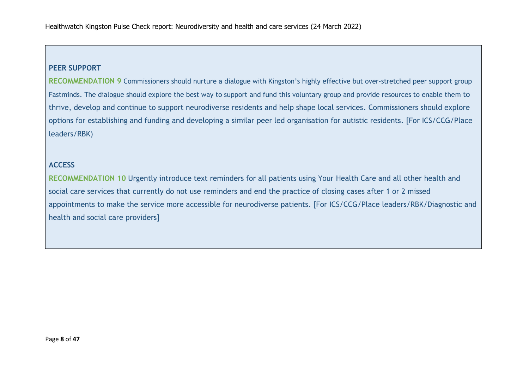#### **PEER SUPPORT**

**RECOMMENDATION 9** Commissioners should nurture a dialogue with Kingston's highly effective but over-stretched peer support group Fastminds. The dialogue should explore the best way to support and fund this voluntary group and provide resources to enable them to thrive, develop and continue to support neurodiverse residents and help shape local services. Commissioners should explore options for establishing and funding and developing a similar peer led organisation for autistic residents. [For ICS/CCG/Place leaders/RBK)

#### **ACCESS**

**RECOMMENDATION 10** Urgently introduce text reminders for all patients using Your Health Care and all other health and social care services that currently do not use reminders and end the practice of closing cases after 1 or 2 missed appointments to make the service more accessible for neurodiverse patients. [For ICS/CCG/Place leaders/RBK/Diagnostic and health and social care providers]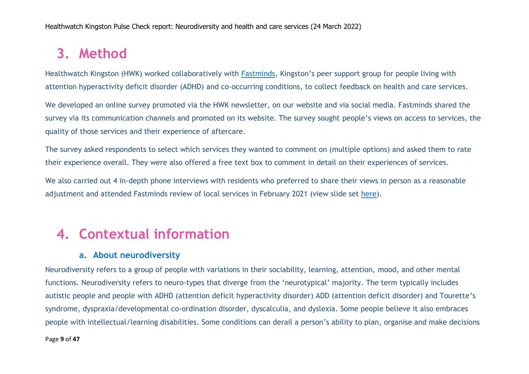# **3. Method**

Healthwatch Kingston (HWK) worked collaboratively with [Fastminds](https://adhdkingston.org.uk/), Kingston's peer support group for people living with attention hyperactivity deficit disorder (ADHD) and co-occurring conditions, to collect feedback on health and care services.

We developed an online survey promoted via the HWK newsletter, on our website and via social media. Fastminds shared the survey via its communication channels and promoted on its website. The survey sought people's views on access to services, the quality of those services and their experience of aftercare.

The survey asked respondents to select which services they wanted to comment on (multiple options) and asked them to rate their experience overall. They were also offered a free text box to comment in detail on their experiences of services.

We also carried out 4 in-depth phone interviews with residents who preferred to share their views in person as a reasonable adjustment and attended Fastminds review of local services in February 2021 (view slide set [here\)](https://adhdkingston.org.uk/wp-content/uploads/2022/03/2021-02-25-Healthwatch-re.-Kingston-ADHD-Service-Rev5.pdf).

# **4. Contextual information**

## **a. About neurodiversity**

Neurodiversity refers to a group of people with variations in their sociability, learning, attention, mood, and other mental functions. Neurodiversity refers to neuro-types that diverge from the 'neurotypical' majority. The term typically includes autistic people and people with ADHD (attention deficit hyperactivity disorder) ADD (attention deficit disorder) and Tourette's syndrome, dyspraxia/developmental co-ordination disorder, dyscalculia, and dyslexia. Some people believe it also embraces people with intellectual/learning disabilities. Some conditions can derail a person's ability to plan, organise and make decisions

#### Page **9** of **47**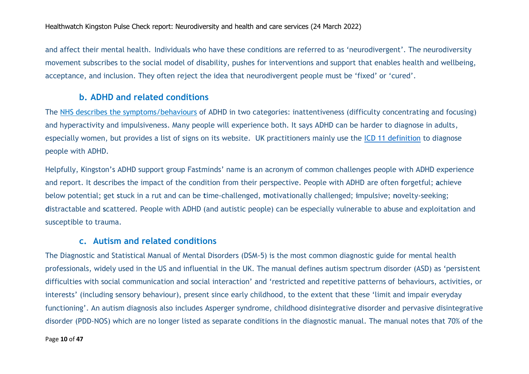and affect their mental health. Individuals who have these conditions are referred to as 'neurodivergent'. The neurodiversity movement subscribes to the social model of disability, pushes for interventions and support that enables health and wellbeing, acceptance, and inclusion. They often reject the idea that neurodivergent people must be 'fixed' or 'cured'.

#### **b. ADHD and related conditions**

The [NHS describes the symptoms/behaviours](https://www.nhs.uk/conditions/attention-deficit-hyperactivity-disorder-adhd/symptoms/) of ADHD in two categories: inattentiveness (difficulty concentrating and focusing) and hyperactivity and impulsiveness. Many people will experience both. It says ADHD can be harder to diagnose in adults, especially women, but provides a list of signs on its website. UK practitioners mainly use the [ICD 11 definition](https://icd.who.int/browse11/l-m/en#/http%3a%2f%2fid.who.int%2ficd%2fentity%2f821852937) to diagnose people with ADHD.

Helpfully, Kingston's ADHD support group Fastminds' name is an acronym of common challenges people with ADHD experience and report. It describes the impact of the condition from their perspective. People with ADHD are often **f**orgetful; **a**chieve below potential; get **s**tuck in a rut and can be **t**ime-challenged, **m**otivationally challenged; **i**mpulsive; **n**ovelty-seeking; **d**istractable and **s**cattered. People with ADHD (and autistic people) can be especially vulnerable to abuse and exploitation and susceptible to trauma.

### **c. Autism and related conditions**

The Diagnostic and Statistical Manual of Mental Disorders (DSM-5) is the most common diagnostic guide for mental health professionals, widely used in the US and influential in the UK. The manual defines autism spectrum disorder (ASD) as 'persistent difficulties with social communication and social interaction' and 'restricted and repetitive patterns of behaviours, activities, or interests' (including sensory behaviour), present since early childhood, to the extent that these 'limit and impair everyday functioning'. An autism diagnosis also includes Asperger syndrome, childhood disintegrative disorder and pervasive disintegrative disorder (PDD-NOS) which are no longer listed as separate conditions in the diagnostic manual. The manual notes that 70% of the

#### Page **10** of **47**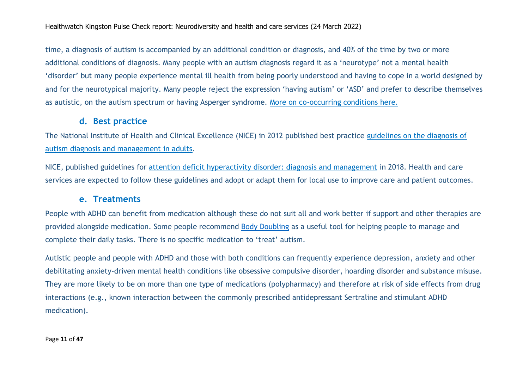time, a diagnosis of autism is accompanied by an additional condition or diagnosis, and 40% of the time by two or more additional conditions of diagnosis. Many people with an autism diagnosis regard it as a 'neurotype' not a mental health 'disorder' but many people experience mental ill health from being poorly understood and having to cope in a world designed by and for the neurotypical majority. Many people reject the expression 'having autism' or 'ASD' and prefer to describe themselves as autistic, on the autism spectrum or having Asperger syndrome. [More on co-occurring conditions here.](https://www.nhs.uk/conditions/autism/other-conditions/)

#### **d. Best practice**

The National Institute of Health and Clinical Excellence (NICE) in 2012 published best practice [guidelines on the diagnosis of](https://www.nice.org.uk/guidance/cg142)  [autism diagnosis and management in adults.](https://www.nice.org.uk/guidance/cg142)

NICE, published guidelines for [attention deficit hyperactivity disorder: diagnosis and management](https://www.nice.org.uk/guidance/ng87/chapter/Recommendations#information-and-support) in 2018. Health and care services are expected to follow these guidelines and adopt or adapt them for local use to improve care and patient outcomes.

#### **e. Treatments**

People with ADHD can benefit from medication although these do not suit all and work better if support and other therapies are provided alongside medication. Some people recommend [Body Doubling](https://www.medicalnewstoday.com/articles/body-doubling-adhd) as a useful tool for helping people to manage and complete their daily tasks. There is no specific medication to 'treat' autism.

Autistic people and people with ADHD and those with both conditions can frequently experience depression, anxiety and other debilitating anxiety-driven mental health conditions like obsessive compulsive disorder, hoarding disorder and substance misuse. They are more likely to be on more than one type of medications (polypharmacy) and therefore at risk of side effects from drug interactions (e.g., known interaction between the commonly prescribed antidepressant Sertraline and stimulant ADHD medication).

Page **11** of **47**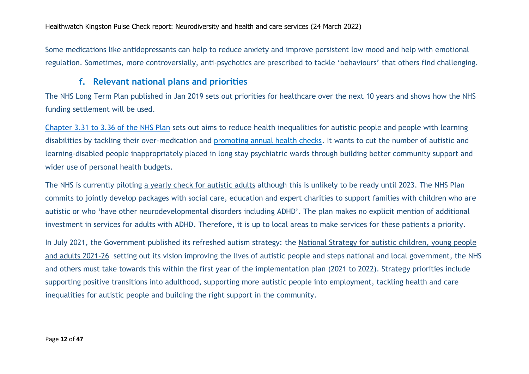Some medications like antidepressants can help to reduce anxiety and improve persistent low mood and help with emotional regulation. Sometimes, more controversially, anti-psychotics are prescribed to tackle 'behaviours' that others find challenging.

### **f. Relevant national plans and priorities**

The NHS Long Term Plan published in Jan 2019 sets out priorities for healthcare over the next 10 years and shows how the NHS funding settlement will be used.

[Chapter 3.31 to 3.36 of the NHS Plan](https://www.longtermplan.nhs.uk/online-version/chapter-3-further-progress-on-care-quality-and-outcomes/a-strong-start-in-life-for-children-and-young-people/learning-disability-and-autism/) sets out aims to reduce health inequalities for autistic people and people with learning disabilities by tackling their over-medication and [promoting annual health checks.](https://www.nhs.uk/conditions/learning-disabilities/annual-health-checks/) It wants to cut the number of autistic and learning-disabled people inappropriately placed in long stay psychiatric wards through building better community support and wider use of personal health budgets.

The NHS is currently piloting [a yearly check for autistic adults](https://www.ncl.ac.uk/computing/research/open-lab/current-projects/health-check/) although this is unlikely to be ready until 2023. The NHS Plan commits to jointly develop packages with social care, education and expert charities to support families with children who are autistic or who 'have other neurodevelopmental disorders including ADHD'. The plan makes no explicit mention of additional investment in services for adults with ADHD**.** Therefore, it is up to local areas to make services for these patients a priority.

In July 2021, the Government published its refreshed autism strategy: the National Strategy for autistic children, young people [and adults 2021-26](https://www.gov.uk/government/publications/national-strategy-for-autistic-children-young-people-and-adults-2021-to-2026/the-national-strategy-for-autistic-children-young-people-and-adults-2021-to-2026) setting out its vision improving the lives of autistic people and steps national and local government, the NHS and others must take towards this within the first year of the implementation plan (2021 to 2022). Strategy priorities include supporting positive transitions into adulthood, supporting more autistic people into employment, tackling health and care inequalities for autistic people and building the right support in the community.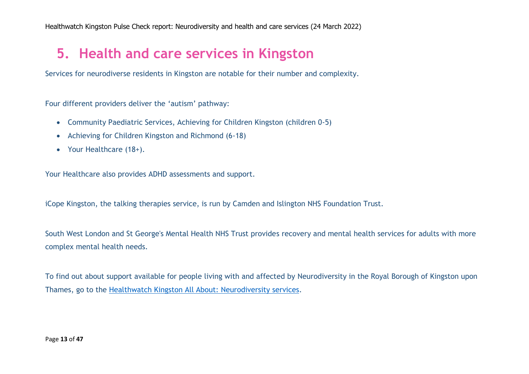# **5. Health and care services in Kingston**

Services for neurodiverse residents in Kingston are notable for their number and complexity.

Four different providers deliver the 'autism' pathway:

- Community Paediatric Services, Achieving for Children Kingston (children 0-5)
- Achieving for Children Kingston and Richmond (6-18)
- Your Healthcare (18+).

Your Healthcare also provides ADHD assessments and support.

iCope Kingston, the talking therapies service, is run by Camden and Islington NHS Foundation Trust.

South West London and St George's Mental Health NHS Trust provides recovery and mental health services for adults with more complex mental health needs.

To find out about support available for people living with and affected by Neurodiversity in the Royal Borough of Kingston upon Thames, go to the [Healthwatch Kingston All About: Neurodiversity](https://www.healthwatchkingston.org.uk/advice-and-information/2022-03-06/all-about-multiple-sclerosis-services) services.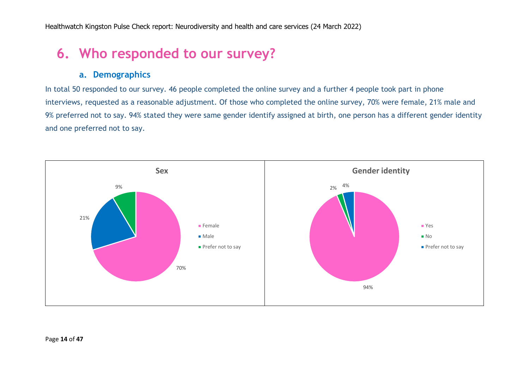# **6. Who responded to our survey?**

### **a. Demographics**

In total 50 responded to our survey. 46 people completed the online survey and a further 4 people took part in phone interviews, requested as a reasonable adjustment. Of those who completed the online survey, 70% were female, 21% male and 9% preferred not to say. 94% stated they were same gender identify assigned at birth, one person has a different gender identity and one preferred not to say.

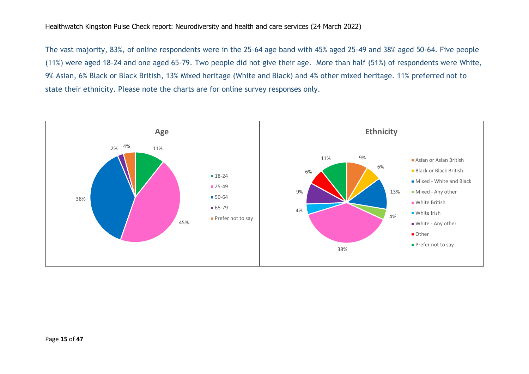The vast majority, 83%, of online respondents were in the 25-64 age band with 45% aged 25-49 and 38% aged 50-64. Five people (11%) were aged 18-24 and one aged 65-79. Two people did not give their age. More than half (51%) of respondents were White, 9% Asian, 6% Black or Black British, 13% Mixed heritage (White and Black) and 4% other mixed heritage. 11% preferred not to state their ethnicity. Please note the charts are for online survey responses only.

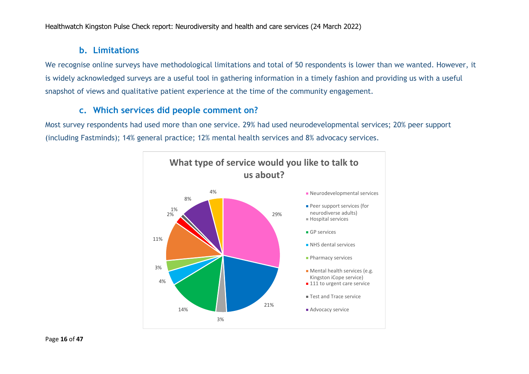### **b. Limitations**

We recognise online surveys have methodological limitations and total of 50 respondents is lower than we wanted. However, it is widely acknowledged surveys are a useful tool in gathering information in a timely fashion and providing us with a useful snapshot of views and qualitative patient experience at the time of the community engagement.

### **c. Which services did people comment on?**

Most survey respondents had used more than one service. 29% had used neurodevelopmental services; 20% peer support (including Fastminds); 14% general practice; 12% mental health services and 8% advocacy services.

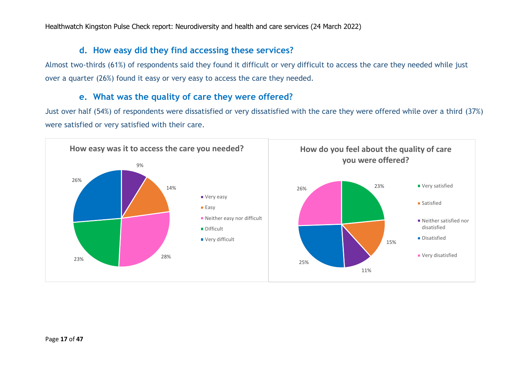### **d. How easy did they find accessing these services?**

Almost two-thirds (61%) of respondents said they found it difficult or very difficult to access the care they needed while just over a quarter (26%) found it easy or very easy to access the care they needed.

### **e. What was the quality of care they were offered?**

Just over half (54%) of respondents were dissatisfied or very dissatisfied with the care they were offered while over a third (37%) were satisfied or very satisfied with their care.

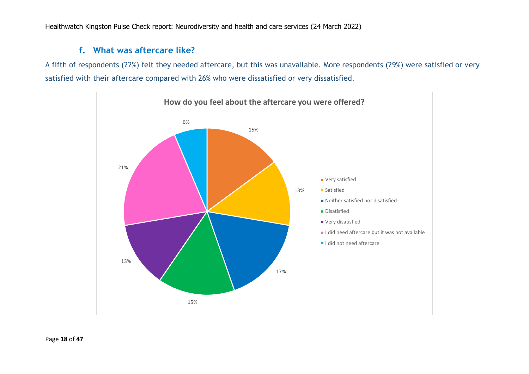### **f. What was aftercare like?**

A fifth of respondents (22%) felt they needed aftercare, but this was unavailable. More respondents (29%) were satisfied or very satisfied with their aftercare compared with 26% who were dissatisfied or very dissatisfied.

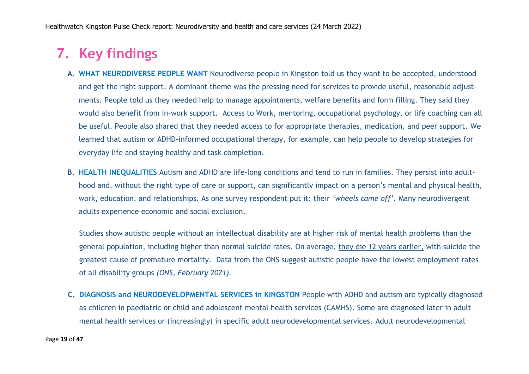# **7. Key findings**

- **A. WHAT NEURODIVERSE PEOPLE WANT** Neurodiverse people in Kingston told us they want to be accepted, understood and get the right support. A dominant theme was the pressing need for services to provide useful, reasonable adjustments. People told us they needed help to manage appointments, welfare benefits and form filling. They said they would also benefit from in-work support. Access to Work, mentoring, occupational psychology, or life coaching can all be useful. People also shared that they needed access to for appropriate therapies, medication, and peer support. We learned that autism or ADHD-informed occupational therapy, for example, can help people to develop strategies for everyday life and staying healthy and task completion.
- **B. HEALTH INEQUALITIES** Autism and ADHD are life-long conditions and tend to run in families. They persist into adulthood and, without the right type of care or support, can significantly impact on a person's mental and physical health, work, education, and relationships. As one survey respondent put it: their *'wheels came off'.* Many neurodivergent adults experience economic and social exclusion.

Studies show autistic people without an intellectual disability are at higher risk of mental health problems than the general population, including higher than normal suicide rates. On average, [they die 12 years earlier,](https://www.cambridge.org/core/journals/the-british-journal-of-psychiatry/article/premature-mortality-in-autism-spectrum-disorder/4C9260DB64DFC29AF945D32D1C15E8F2) with suicide the greatest cause of premature mortality. Data from the ONS suggest autistic people have the lowest employment rates of all disability groups *(ONS, February 2021).*

**C. DIAGNOSIS and NEURODEVELOPMENTAL SERVICES in KINGSTON** People with ADHD and autism are typically diagnosed as children in paediatric or child and adolescent mental health services (CAMHS). Some are diagnosed later in adult mental health services or (increasingly) in specific adult neurodevelopmental services. Adult neurodevelopmental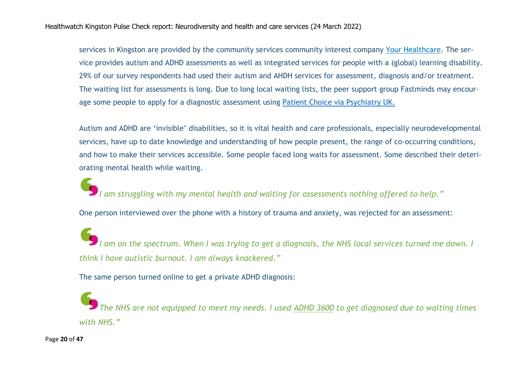services in Kingston are provided by the community services community interest company [Your Healthcare.](https://yourhealthcare.org/services/neuro-developmental-services/) The service provides autism and ADHD assessments as well as integrated services for people with a (global) learning disability. 29% of our survey respondents had used their autism and AHDH services for assessment, diagnosis and/or treatment. The waiting list for assessments is long. Due to long local waiting lists, the peer support group Fastminds may encourage some people to apply for a diagnostic assessment using [Patient Choice via Psychiatry UK.](https://psychiatry-uk.com/right-to-choose/)

Autism and ADHD are 'invisible' disabilities, so it is vital health and care professionals, especially neurodevelopmental services, have up to date knowledge and understanding of how people present, the range of co-occurring conditions, and how to make their services accessible. Some people faced long waits for assessment. Some described their deteriorating mental health while waiting.

*I am struggling with my mental health and waiting for assessments nothing offered to help."*

One person interviewed over the phone with a history of trauma and anxiety, was rejected for an assessment:

*I am on the spectrum. When I was trying to get a diagnosis, the NHS local services turned me down. I think I have autistic burnout. I am always knackered."*

The same person turned online to get a private ADHD diagnosis:

*The NHS are not equipped to meet my needs. I used [ADHD 3600](file:///C:/Users/Dell/Documents/Freelance%20work/ADHD%2036) to get diagnosed due to waiting times with NHS."*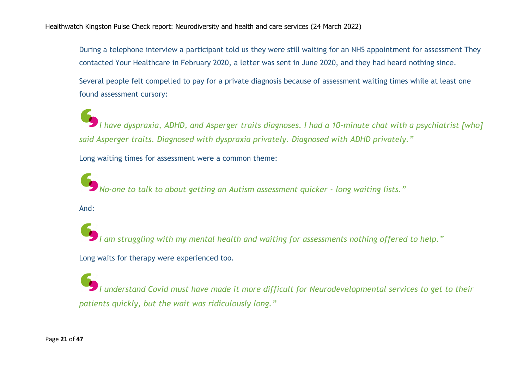During a telephone interview a participant told us they were still waiting for an NHS appointment for assessment They contacted Your Healthcare in February 2020, a letter was sent in June 2020, and they had heard nothing since.

Several people felt compelled to pay for a private diagnosis because of assessment waiting times while at least one found assessment cursory:

*I have dyspraxia, ADHD, and Asperger traits diagnoses. I had a 10-minute chat with a psychiatrist [who] said Asperger traits. Diagnosed with dyspraxia privately. Diagnosed with ADHD privately."*

Long waiting times for assessment were a common theme:

*No-one to talk to about getting an Autism assessment quicker - long waiting lists."*

And:

*I am struggling with my mental health and waiting for assessments nothing offered to help."* Long waits for therapy were experienced too.

*I understand Covid must have made it more difficult for Neurodevelopmental services to get to their patients quickly, but the wait was ridiculously long."*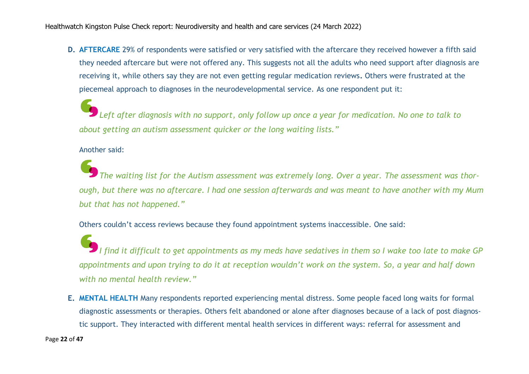**D. AFTERCARE** 29% of respondents were satisfied or very satisfied with the aftercare they received however a fifth said they needed aftercare but were not offered any. This suggests not all the adults who need support after diagnosis are receiving it, while others say they are not even getting regular medication reviews**.** Others were frustrated at the piecemeal approach to diagnoses in the neurodevelopmental service. As one respondent put it:

*Left after diagnosis with no support, only follow up once a year for medication. No one to talk to about getting an autism assessment quicker or the long waiting lists."*

#### Another said:

*The waiting list for the Autism assessment was extremely long. Over a year. The assessment was thorough, but there was no aftercare. I had one session afterwards and was meant to have another with my Mum but that has not happened."*

Others couldn't access reviews because they found appointment systems inaccessible. One said:

*I find it difficult to get appointments as my meds have sedatives in them so I wake too late to make GP appointments and upon trying to do it at reception wouldn't work on the system. So, a year and half down with no mental health review."*

**E. MENTAL HEALTH** Many respondents reported experiencing mental distress. Some people faced long waits for formal diagnostic assessments or therapies. Others felt abandoned or alone after diagnoses because of a lack of post diagnostic support. They interacted with different mental health services in different ways: referral for assessment and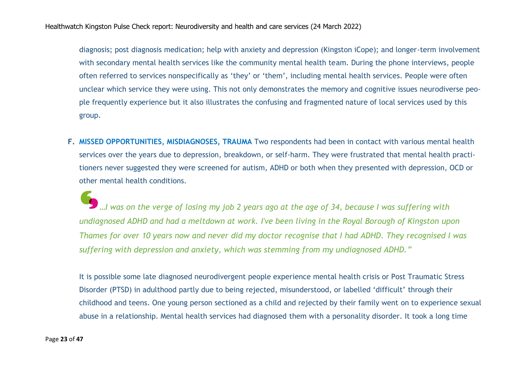diagnosis; post diagnosis medication; help with anxiety and depression (Kingston iCope); and longer-term involvement with secondary mental health services like the community mental health team. During the phone interviews, people often referred to services nonspecifically as 'they' or 'them', including mental health services. People were often unclear which service they were using. This not only demonstrates the memory and cognitive issues neurodiverse people frequently experience but it also illustrates the confusing and fragmented nature of local services used by this group.

**F. MISSED OPPORTUNITIES, MISDIAGNOSES, TRAUMA** Two respondents had been in contact with various mental health services over the years due to depression, breakdown, or self-harm. They were frustrated that mental health practitioners never suggested they were screened for autism, ADHD or both when they presented with depression, OCD or other mental health conditions.

*…I was on the verge of losing my job 2 years ago at the age of 34, because I was suffering with undiagnosed ADHD and had a meltdown at work. I've been living in the Royal Borough of Kingston upon Thames for over 10 years now and never did my doctor recognise that I had ADHD. They recognised I was suffering with depression and anxiety, which was stemming from my undiagnosed ADHD."*

It is possible some late diagnosed neurodivergent people experience mental health crisis or Post Traumatic Stress Disorder (PTSD) in adulthood partly due to being rejected, misunderstood, or labelled 'difficult' through their childhood and teens. One young person sectioned as a child and rejected by their family went on to experience sexual abuse in a relationship. Mental health services had diagnosed them with a personality disorder. It took a long time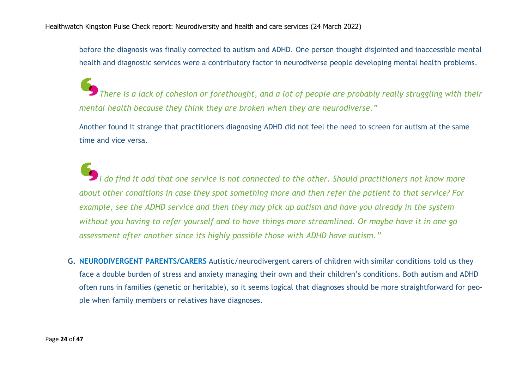before the diagnosis was finally corrected to autism and ADHD. One person thought disjointed and inaccessible mental health and diagnostic services were a contributory factor in neurodiverse people developing mental health problems.

*There is a lack of cohesion or forethought, and a lot of people are probably really struggling with their mental health because they think they are broken when they are neurodiverse."*

Another found it strange that practitioners diagnosing ADHD did not feel the need to screen for autism at the same time and vice versa.

*I do find it odd that one service is not connected to the other. Should practitioners not know more about other conditions in case they spot something more and then refer the patient to that service? For example, see the ADHD service and then they may pick up autism and have you already in the system without you having to refer yourself and to have things more streamlined. Or maybe have it in one go assessment after another since its highly possible those with ADHD have autism."*

**G. NEURODIVERGENT PARENTS/CARERS** Autistic/neurodivergent carers of children with similar conditions told us they face a double burden of stress and anxiety managing their own and their children's conditions. Both autism and ADHD often runs in families (genetic or heritable), so it seems logical that diagnoses should be more straightforward for people when family members or relatives have diagnoses.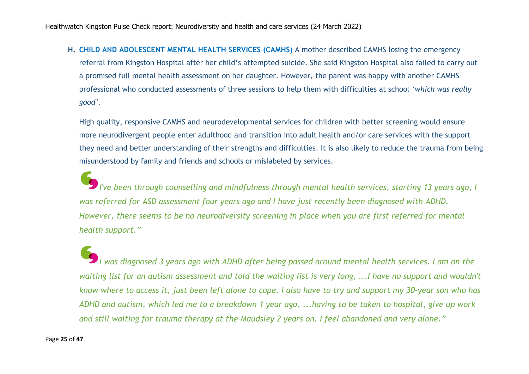**H. CHILD AND ADOLESCENT MENTAL HEALTH SERVICES (CAMHS)** A mother described CAMHS losing the emergency referral from Kingston Hospital after her child's attempted suicide. She said Kingston Hospital also failed to carry out a promised full mental health assessment on her daughter. However, the parent was happy with another CAMHS professional who conducted assessments of three sessions to help them with difficulties at school *'which was really good'.*

High quality, responsive CAMHS and neurodevelopmental services for children with better screening would ensure more neurodivergent people enter adulthood and transition into adult health and/or care services with the support they need and better understanding of their strengths and difficulties. It is also likely to reduce the trauma from being misunderstood by family and friends and schools or mislabeled by services.

*I've been through counselling and mindfulness through mental health services, starting 13 years ago, I was referred for ASD assessment four years ago and I have just recently been diagnosed with ADHD. However, there seems to be no neurodiversity screening in place when you are first referred for mental health support."*

*I was diagnosed 3 years ago with ADHD after being passed around mental health services. I am on the waiting list for an autism assessment and told the waiting list is very long, ...I have no support and wouldn't know where to access it, just been left alone to cope. I also have to try and support my 30-year son who has ADHD and autism, which led me to a breakdown 1 year ago, ...having to be taken to hospital, give up work and still waiting for trauma therapy at the Maudsley 2 years on. I feel abandoned and very alone."*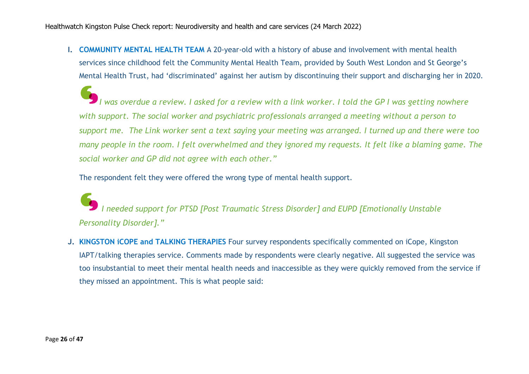**I. COMMUNITY MENTAL HEALTH TEAM** A 20-year-old with a history of abuse and involvement with mental health services since childhood felt the Community Mental Health Team, provided by South West London and St George's Mental Health Trust, had 'discriminated' against her autism by discontinuing their support and discharging her in 2020.

*I was overdue a review. I asked for a review with a link worker. I told the GP I was getting nowhere with support. The social worker and psychiatric professionals arranged a meeting without a person to support me. The Link worker sent a text saying your meeting was arranged. I turned up and there were too many people in the room. I felt overwhelmed and they ignored my requests. It felt like a blaming game. The social worker and GP did not agree with each other."*

The respondent felt they were offered the wrong type of mental health support.

*I needed support for PTSD [Post Traumatic Stress Disorder] and EUPD [Emotionally Unstable Personality Disorder]."*

**J. KINGSTON iCOPE and TALKING THERAPIES** Four survey respondents specifically commented on iCope, Kingston IAPT/talking therapies service. Comments made by respondents were clearly negative. All suggested the service was too insubstantial to meet their mental health needs and inaccessible as they were quickly removed from the service if they missed an appointment. This is what people said: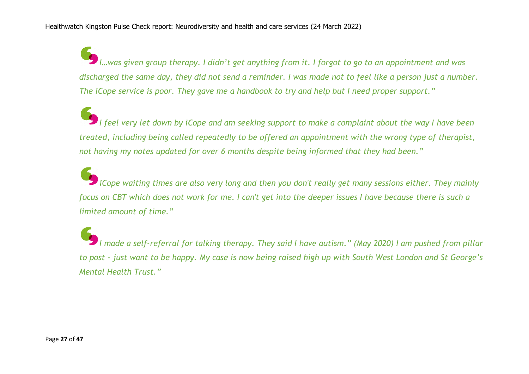*I…was given group therapy. I didn't get anything from it. I forgot to go to an appointment and was discharged the same day, they did not send a reminder. I was made not to feel like a person just a number. The iCope service is poor. They gave me a handbook to try and help but I need proper support."*

*I feel very let down by iCope and am seeking support to make a complaint about the way I have been treated, including being called repeatedly to be offered an appointment with the wrong type of therapist, not having my notes updated for over 6 months despite being informed that they had been."*

*iCope waiting times are also very long and then you don't really get many sessions either. They mainly focus on CBT which does not work for me. I can't get into the deeper issues I have because there is such a limited amount of time."*

*I made a self-referral for talking therapy. They said I have autism." (May 2020) I am pushed from pillar to post - just want to be happy. My case is now being raised high up with South West London and St George's Mental Health Trust."*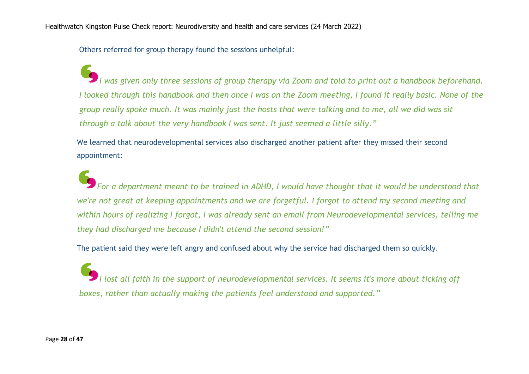Others referred for group therapy found the sessions unhelpful:

*I was given only three sessions of group therapy via Zoom and told to print out a handbook beforehand. I looked through this handbook and then once I was on the Zoom meeting, I found it really basic. None of the group really spoke much. It was mainly just the hosts that were talking and to me, all we did was sit through a talk about the very handbook I was sent. It just seemed a little silly."*

We learned that neurodevelopmental services also discharged another patient after they missed their second appointment:

*For a department meant to be trained in ADHD, I would have thought that it would be understood that we're not great at keeping appointments and we are forgetful. I forgot to attend my second meeting and within hours of realizing I forgot, I was already sent an email from Neurodevelopmental services, telling me they had discharged me because I didn't attend the second session!"*

The patient said they were left angry and confused about why the service had discharged them so quickly.

*I lost all faith in the support of neurodevelopmental services. It seems it's more about ticking off boxes, rather than actually making the patients feel understood and supported."*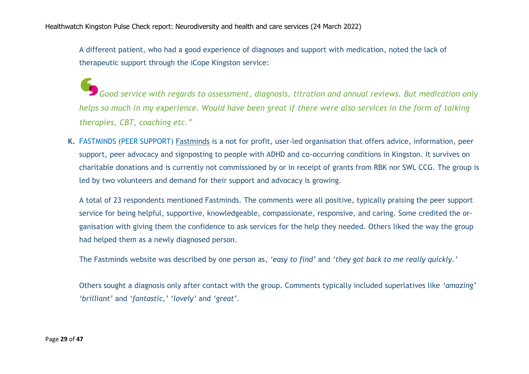A different patient, who had a good experience of diagnoses and support with medication, noted the lack of therapeutic support through the iCope Kingston service:

**Good service with regards to assessment, diagnosis, titration and annual reviews. But medication only** *Good service with regards to assessment***, diagnosis, titration and annual reviews. But medication only** *helps so much in my experience. Would have been great if there were also services in the form of talking therapies, CBT, coaching etc."*

**K.** FASTMINDS (PEER SUPPORT) [Fastminds](https://adhdkingston.org.uk/) is a not for profit, user-led organisation that offers advice, information, peer support, peer advocacy and signposting to people with ADHD and co-occurring conditions in Kingston. It survives on charitable donations and is currently not commissioned by or in receipt of grants from RBK nor SWL CCG. The group is led by two volunteers and demand for their support and advocacy is growing.

A total of 23 respondents mentioned Fastminds. The comments were all positive, typically praising the peer support service for being helpful, supportive, knowledgeable, compassionate, responsive, and caring. Some credited the organisation with giving them the confidence to ask services for the help they needed. Others liked the way the group had helped them as a newly diagnosed person.

The Fastminds website was described by one person as*, 'easy to find'* and *'they got back to me really quickly.'*

Others sought a diagnosis only after contact with the group. Comments typically included superlatives like *'amazing' 'brilliant'* and *'fantastic,' 'lovely'* and *'great'*.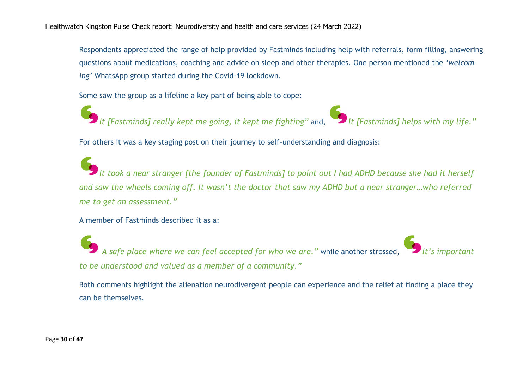Respondents appreciated the range of help provided by Fastminds including help with referrals, form filling, answering questions about medications, coaching and advice on sleep and other therapies. One person mentioned the *'welcoming'* WhatsApp group started during the Covid-19 lockdown.

Some saw the group as a lifeline a key part of being able to cope:

*It [Fastminds] really kept me going, it kept me fighting"* and, *It [Fastminds] helps with my life."*

For others it was a key staging post on their journey to self-understanding and diagnosis:

*It took a near stranger [the founder of Fastminds] to point out I had ADHD because she had it herself and saw the wheels coming off. It wasn't the doctor that saw my ADHD but a near stranger…who referred me to get an assessment."*

A member of Fastminds described it as a:

*A safe place where we can feel accepted for who we are.*<sup>"</sup> while another stressed, *to be understood and valued as a member of a community."*

Both comments highlight the alienation neurodivergent people can experience and the relief at finding a place they can be themselves.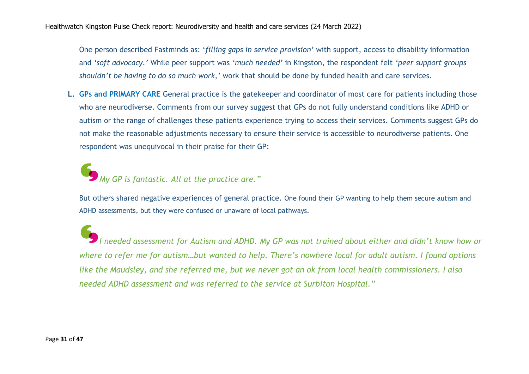One person described Fastminds as: '*filling gaps in service provision'* with support, access to disability information and *'soft advocacy.'* While peer support was *'much needed'* in Kingston, the respondent felt *'peer support groups shouldn't be having to do so much work,'* work that should be done by funded health and care services.

**L. GPs and PRIMARY CARE** General practice is the gatekeeper and coordinator of most care for patients including those who are neurodiverse. Comments from our survey suggest that GPs do not fully understand conditions like ADHD or autism or the range of challenges these patients experience trying to access their services. Comments suggest GPs do not make the reasonable adjustments necessary to ensure their service is accessible to neurodiverse patients. One respondent was unequivocal in their praise for their GP:

*My GP is fantastic. All at the practice are."*

But others shared negative experiences of general practice. One found their GP wanting to help them secure autism and ADHD assessments, but they were confused or unaware of local pathways.

*I needed assessment for Autism and ADHD. My GP was not trained about either and didn't know how or where to refer me for autism…but wanted to help. There's nowhere local for adult autism. I found options like the Maudsley, and she referred me, but we never got an ok from local health commissioners. I also needed ADHD assessment and was referred to the service at Surbiton Hospital."*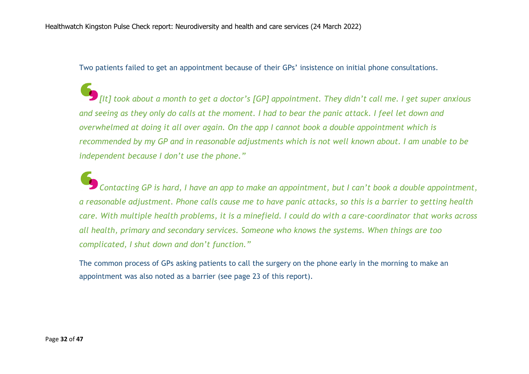Two patients failed to get an appointment because of their GPs' insistence on initial phone consultations.

*[It] took about a month to get a doctor's [GP] appointment. They didn't call me. I get super anxious and seeing as they only do calls at the moment. I had to bear the panic attack. I feel let down and overwhelmed at doing it all over again. On the app I cannot book a double appointment which is recommended by my GP and in reasonable adjustments which is not well known about. I am unable to be independent because I don't use the phone."*

*Contacting GP is hard, I have an app to make an appointment, but I can't book a double appointment, a reasonable adjustment. Phone calls cause me to have panic attacks, so this is a barrier to getting health care. With multiple health problems, it is a minefield. I could do with a care-coordinator that works across all health, primary and secondary services. Someone who knows the systems. When things are too complicated, I shut down and don't function."*

The common process of GPs asking patients to call the surgery on the phone early in the morning to make an appointment was also noted as a barrier (see page 23 of this report).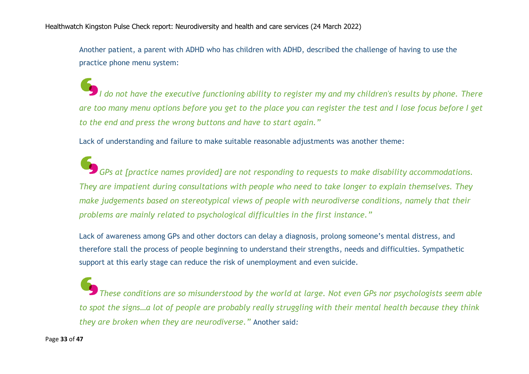Another patient, a parent with ADHD who has children with ADHD, described the challenge of having to use the practice phone menu system:

*I do not have the executive functioning ability to register my and my children's results by phone. There are too many menu options before you get to the place you can register the test and I lose focus before I get to the end and press the wrong buttons and have to start again."*

Lack of understanding and failure to make suitable reasonable adjustments was another theme:

*GPs at [practice names provided] are not responding to requests to make disability accommodations. They are impatient during consultations with people who need to take longer to explain themselves. They make judgements based on stereotypical views of people with neurodiverse conditions, namely that their problems are mainly related to psychological difficulties in the first instance."*

Lack of awareness among GPs and other doctors can delay a diagnosis, prolong someone's mental distress, and therefore stall the process of people beginning to understand their strengths, needs and difficulties. Sympathetic support at this early stage can reduce the risk of unemployment and even suicide.

*These conditions are so misunderstood by the world at large. Not even GPs nor psychologists seem able to spot the signs…a lot of people are probably really struggling with their mental health because they think they are broken when they are neurodiverse."* Another said*:*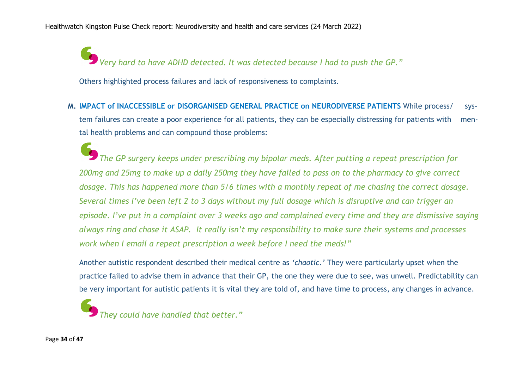*Very hard to have ADHD detected. It was detected because I had to push the GP."*

Others highlighted process failures and lack of responsiveness to complaints.

**M. IMPACT of INACCESSIBLE or DISORGANISED GENERAL PRACTICE on NEURODIVERSE PATIENTS** While process/ system failures can create a poor experience for all patients, they can be especially distressing for patients with mental health problems and can compound those problems:

*The GP surgery keeps under prescribing my bipolar meds. After putting a repeat prescription for 200mg and 25mg to make up a daily 250mg they have failed to pass on to the pharmacy to give correct dosage. This has happened more than 5/6 times with a monthly repeat of me chasing the correct dosage. Several times I've been left 2 to 3 days without my full dosage which is disruptive and can trigger an episode. I've put in a complaint over 3 weeks ago and complained every time and they are dismissive saying always ring and chase it ASAP. It really isn't my responsibility to make sure their systems and processes work when I email a repeat prescription a week before I need the meds!"*

Another autistic respondent described their medical centre as *'chaotic.'* They were particularly upset when the practice failed to advise them in advance that their GP, the one they were due to see, was unwell. Predictability can be very important for autistic patients it is vital they are told of, and have time to process, any changes in advance.

*They could have handled that better."*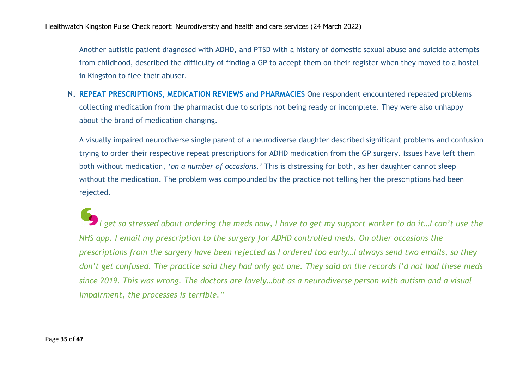Another autistic patient diagnosed with ADHD, and PTSD with a history of domestic sexual abuse and suicide attempts from childhood, described the difficulty of finding a GP to accept them on their register when they moved to a hostel in Kingston to flee their abuser.

**N. REPEAT PRESCRIPTIONS, MEDICATION REVIEWS and PHARMACIES** One respondent encountered repeated problems collecting medication from the pharmacist due to scripts not being ready or incomplete. They were also unhappy about the brand of medication changing.

A visually impaired neurodiverse single parent of a neurodiverse daughter described significant problems and confusion trying to order their respective repeat prescriptions for ADHD medication from the GP surgery. Issues have left them both without medication, *'on a number of occasions.'* This is distressing for both, as her daughter cannot sleep without the medication. The problem was compounded by the practice not telling her the prescriptions had been rejected.

*I get so stressed about ordering the meds now, I have to get my support worker to do it…I can't use the NHS app. I email my prescription to the surgery for ADHD controlled meds. On other occasions the prescriptions from the surgery have been rejected as I ordered too early…I always send two emails, so they don't get confused. The practice said they had only got one. They said on the records I'd not had these meds since 2019. This was wrong. The doctors are lovely…but as a neurodiverse person with autism and a visual impairment, the processes is terrible."*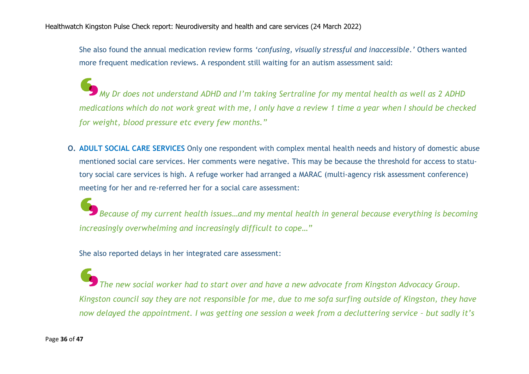She also found the annual medication review forms *'confusing, visually stressful and inaccessible.'* Others wanted more frequent medication reviews. A respondent still waiting for an autism assessment said:

*My Dr does not understand ADHD and I'm taking Sertraline for my mental health as well as 2 ADHD medications which do not work great with me, I only have a review 1 time a year when I should be checked for weight, blood pressure etc every few months."*

**O. ADULT SOCIAL CARE SERVICES** Only one respondent with complex mental health needs and history of domestic abuse mentioned social care services. Her comments were negative. This may be because the threshold for access to statutory social care services is high. A refuge worker had arranged a MARAC (multi-agency risk assessment conference) meeting for her and re-referred her for a social care assessment:

*Because of my current health issues…and my mental health in general because everything is becoming increasingly overwhelming and increasingly difficult to cope…"*

She also reported delays in her integrated care assessment:

*The new social worker had to start over and have a new advocate from Kingston Advocacy Group. Kingston council say they are not responsible for me, due to me sofa surfing outside of Kingston, they have now delayed the appointment. I was getting one session a week from a decluttering service - but sadly it's*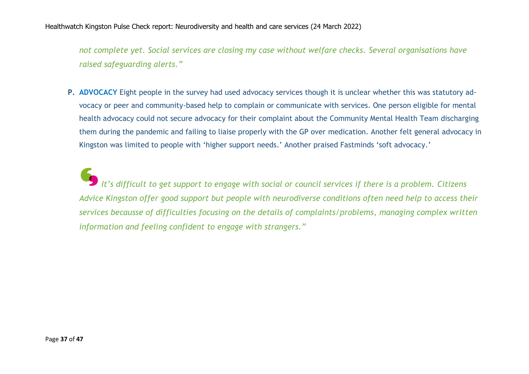*not complete yet. Social services are closing my case without welfare checks. Several organisations have raised safeguarding alerts."*

**P. ADVOCACY** Eight people in the survey had used advocacy services though it is unclear whether this was statutory advocacy or peer and community-based help to complain or communicate with services. One person eligible for mental health advocacy could not secure advocacy for their complaint about the Community Mental Health Team discharging them during the pandemic and failing to liaise properly with the GP over medication. Another felt general advocacy in Kingston was limited to people with 'higher support needs.' Another praised Fastminds 'soft advocacy.'

*It's difficult to get support to engage with social or council services if there is a problem. Citizens Advice Kingston offer good support but people with neurodiverse conditions often need help to access their services becausse of difficulties focusing on the details of complaints/problems, managing complex written information and feeling confident to engage with strangers."*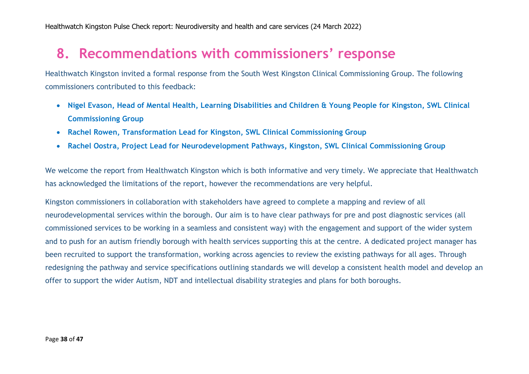# **8. Recommendations with commissioners' response**

Healthwatch Kingston invited a formal response from the South West Kingston Clinical Commissioning Group. The following commissioners contributed to this feedback:

- **Nigel Evason, Head of Mental Health, Learning Disabilities and Children & Young People for Kingston, SWL Clinical Commissioning Group**
- **Rachel Rowen, Transformation Lead for Kingston, SWL Clinical Commissioning Group**
- **Rachel Oostra, Project Lead for Neurodevelopment Pathways, Kingston, SWL Clinical Commissioning Group**

We welcome the report from Healthwatch Kingston which is both informative and very timely. We appreciate that Healthwatch has acknowledged the limitations of the report, however the recommendations are very helpful.

Kingston commissioners in collaboration with stakeholders have agreed to complete a mapping and review of all neurodevelopmental services within the borough. Our aim is to have clear pathways for pre and post diagnostic services (all commissioned services to be working in a seamless and consistent way) with the engagement and support of the wider system and to push for an autism friendly borough with health services supporting this at the centre. A dedicated project manager has been recruited to support the transformation, working across agencies to review the existing pathways for all ages. Through redesigning the pathway and service specifications outlining standards we will develop a consistent health model and develop an offer to support the wider Autism, NDT and intellectual disability strategies and plans for both boroughs.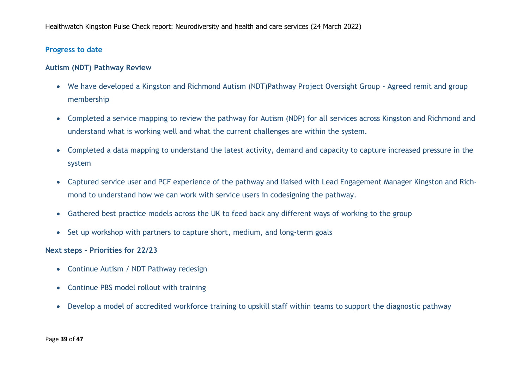#### **Progress to date**

#### **Autism (NDT) Pathway Review**

- We have developed a Kingston and Richmond Autism (NDT)Pathway Project Oversight Group Agreed remit and group membership
- Completed a service mapping to review the pathway for Autism (NDP) for all services across Kingston and Richmond and understand what is working well and what the current challenges are within the system.
- Completed a data mapping to understand the latest activity, demand and capacity to capture increased pressure in the system
- Captured service user and PCF experience of the pathway and liaised with Lead Engagement Manager Kingston and Richmond to understand how we can work with service users in codesigning the pathway.
- Gathered best practice models across the UK to feed back any different ways of working to the group
- Set up workshop with partners to capture short, medium, and long-term goals

#### **Next steps – Priorities for 22/23**

- Continue Autism / NDT Pathway redesign
- Continue PBS model rollout with training
- Develop a model of accredited workforce training to upskill staff within teams to support the diagnostic pathway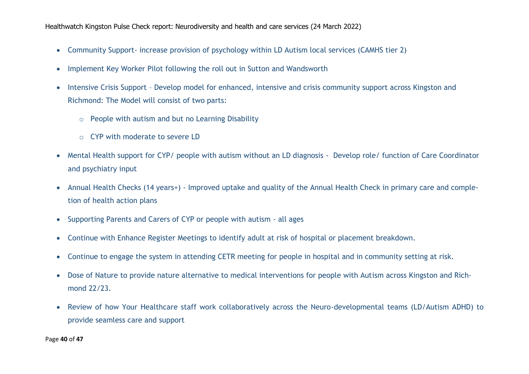- Community Support- increase provision of psychology within LD Autism local services (CAMHS tier 2)
- Implement Key Worker Pilot following the roll out in Sutton and Wandsworth
- Intensive Crisis Support Develop model for enhanced, intensive and crisis community support across Kingston and Richmond: The Model will consist of two parts:
	- o People with autism and but no Learning Disability
	- o CYP with moderate to severe LD
- Mental Health support for CYP/ people with autism without an LD diagnosis Develop role/ function of Care Coordinator and psychiatry input
- Annual Health Checks (14 years+) Improved uptake and quality of the Annual Health Check in primary care and completion of health action plans
- Supporting Parents and Carers of CYP or people with autism all ages
- Continue with Enhance Register Meetings to identify adult at risk of hospital or placement breakdown.
- Continue to engage the system in attending CETR meeting for people in hospital and in community setting at risk.
- Dose of Nature to provide nature alternative to medical interventions for people with Autism across Kingston and Richmond 22/23.
- Review of how Your Healthcare staff work collaboratively across the Neuro-developmental teams (LD/Autism ADHD) to provide seamless care and support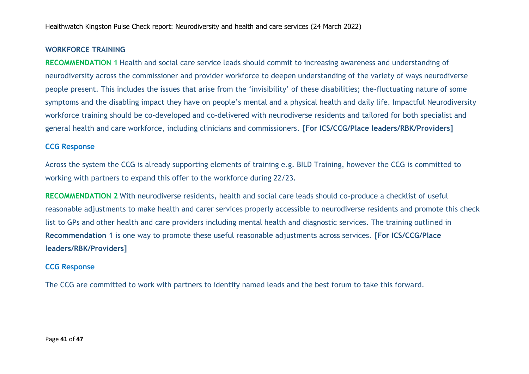#### **WORKFORCE TRAINING**

**RECOMMENDATION 1** Health and social care service leads should commit to increasing awareness and understanding of neurodiversity across the commissioner and provider workforce to deepen understanding of the variety of ways neurodiverse people present. This includes the issues that arise from the 'invisibility' of these disabilities; the-fluctuating nature of some symptoms and the disabling impact they have on people's mental and a physical health and daily life. Impactful Neurodiversity workforce training should be co-developed and co-delivered with neurodiverse residents and tailored for both specialist and general health and care workforce, including clinicians and commissioners. **[For ICS/CCG/Place leaders/RBK/Providers]**

#### **CCG Response**

Across the system the CCG is already supporting elements of training e.g. BILD Training, however the CCG is committed to working with partners to expand this offer to the workforce during 22/23.

**RECOMMENDATION 2** With neurodiverse residents, health and social care leads should co-produce a checklist of useful reasonable adjustments to make health and carer services properly accessible to neurodiverse residents and promote this check list to GPs and other health and care providers including mental health and diagnostic services. The training outlined in **Recommendation 1** is one way to promote these useful reasonable adjustments across services. **[For ICS/CCG/Place leaders/RBK/Providers]**

#### **CCG Response**

The CCG are committed to work with partners to identify named leads and the best forum to take this forward.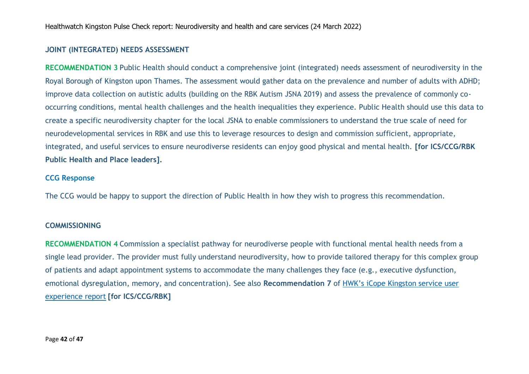#### **JOINT (INTEGRATED) NEEDS ASSESSMENT**

**RECOMMENDATION 3** Public Health should conduct a comprehensive joint (integrated) needs assessment of neurodiversity in the Royal Borough of Kingston upon Thames. The assessment would gather data on the prevalence and number of adults with ADHD; improve data collection on autistic adults (building on the RBK Autism JSNA 2019) and assess the prevalence of commonly cooccurring conditions, mental health challenges and the health inequalities they experience. Public Health should use this data to create a specific neurodiversity chapter for the local JSNA to enable commissioners to understand the true scale of need for neurodevelopmental services in RBK and use this to leverage resources to design and commission sufficient, appropriate, integrated, and useful services to ensure neurodiverse residents can enjoy good physical and mental health. **[for ICS/CCG/RBK Public Health and Place leaders].** 

#### **CCG Response**

The CCG would be happy to support the direction of Public Health in how they wish to progress this recommendation.

#### **COMMISSIONING**

**RECOMMENDATION 4** Commission a specialist pathway for neurodiverse people with functional mental health needs from a single lead provider. The provider must fully understand neurodiversity, how to provide tailored therapy for this complex group of patients and adapt appointment systems to accommodate the many challenges they face (e.g., executive dysfunction, emotional dysregulation, memory, and concentration). See also **Recommendation 7** of [HWK's iCope Kingston service user](https://www.healthwatchkingston.org.uk/report/2022-03-05/icope-kingston-service-user-review-report-update)  [experience report](https://www.healthwatchkingston.org.uk/report/2022-03-05/icope-kingston-service-user-review-report-update) **[for ICS/CCG/RBK]**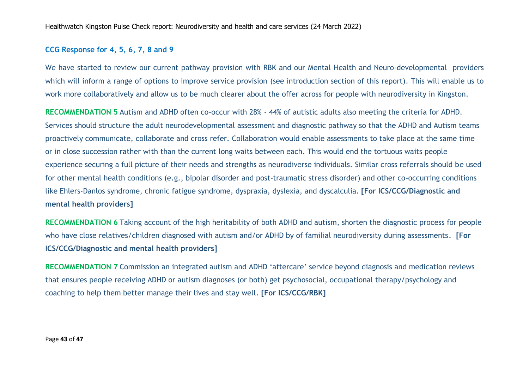#### **CCG Response for 4, 5, 6, 7, 8 and 9**

We have started to review our current pathway provision with RBK and our Mental Health and Neuro-developmental providers which will inform a range of options to improve service provision (see introduction section of this report). This will enable us to work more collaboratively and allow us to be much clearer about the offer across for people with neurodiversity in Kingston.

**RECOMMENDATION 5** Autism and ADHD often co-occur with 28% - 44% of autistic adults also meeting the criteria for ADHD. Services should structure the adult neurodevelopmental assessment and diagnostic pathway so that the ADHD and Autism teams proactively communicate, collaborate and cross refer. Collaboration would enable assessments to take place at the same time or in close succession rather with than the current long waits between each. This would end the tortuous waits people experience securing a full picture of their needs and strengths as neurodiverse individuals. Similar cross referrals should be used for other mental health conditions (e.g., bipolar disorder and post-traumatic stress disorder) and other co-occurring conditions like Ehlers-Danlos syndrome, chronic fatigue syndrome, dyspraxia, dyslexia, and dyscalculia. **[For ICS/CCG/Diagnostic and mental health providers]**

**RECOMMENDATION 6** Taking account of the high heritability of both ADHD and autism, shorten the diagnostic process for people who have close relatives/children diagnosed with autism and/or ADHD by of familial neurodiversity during assessments. **[For ICS/CCG/Diagnostic and mental health providers]**

**RECOMMENDATION 7** Commission an integrated autism and ADHD 'aftercare' service beyond diagnosis and medication reviews that ensures people receiving ADHD or autism diagnoses (or both) get psychosocial, occupational therapy/psychology and coaching to help them better manage their lives and stay well. **[For ICS/CCG/RBK]**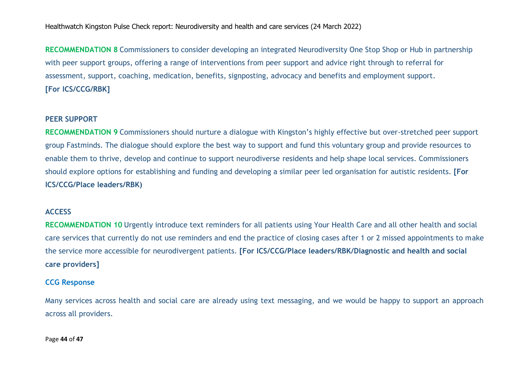**RECOMMENDATION 8** Commissioners to consider developing an integrated Neurodiversity One Stop Shop or Hub in partnership with peer support groups, offering a range of interventions from peer support and advice right through to referral for assessment, support, coaching, medication, benefits, signposting, advocacy and benefits and employment support. **[For ICS/CCG/RBK]**

#### **PEER SUPPORT**

**RECOMMENDATION 9** Commissioners should nurture a dialogue with Kingston's highly effective but over-stretched peer support group Fastminds. The dialogue should explore the best way to support and fund this voluntary group and provide resources to enable them to thrive, develop and continue to support neurodiverse residents and help shape local services. Commissioners should explore options for establishing and funding and developing a similar peer led organisation for autistic residents. **[For ICS/CCG/Place leaders/RBK)**

#### **ACCESS**

**RECOMMENDATION 10** Urgently introduce text reminders for all patients using Your Health Care and all other health and social care services that currently do not use reminders and end the practice of closing cases after 1 or 2 missed appointments to make the service more accessible for neurodivergent patients. **[For ICS/CCG/Place leaders/RBK/Diagnostic and health and social care providers]**

#### **CCG Response**

Many services across health and social care are already using text messaging, and we would be happy to support an approach across all providers.

Page **44** of **47**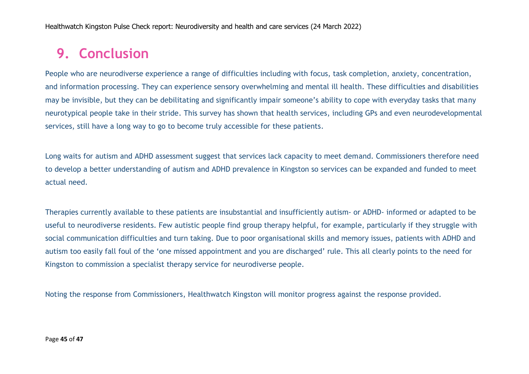# **9. Conclusion**

People who are neurodiverse experience a range of difficulties including with focus, task completion, anxiety, concentration, and information processing. They can experience sensory overwhelming and mental ill health. These difficulties and disabilities may be invisible, but they can be debilitating and significantly impair someone's ability to cope with everyday tasks that many neurotypical people take in their stride. This survey has shown that health services, including GPs and even neurodevelopmental services, still have a long way to go to become truly accessible for these patients.

Long waits for autism and ADHD assessment suggest that services lack capacity to meet demand. Commissioners therefore need to develop a better understanding of autism and ADHD prevalence in Kingston so services can be expanded and funded to meet actual need.

Therapies currently available to these patients are insubstantial and insufficiently autism- or ADHD- informed or adapted to be useful to neurodiverse residents. Few autistic people find group therapy helpful, for example, particularly if they struggle with social communication difficulties and turn taking. Due to poor organisational skills and memory issues, patients with ADHD and autism too easily fall foul of the 'one missed appointment and you are discharged' rule. This all clearly points to the need for Kingston to commission a specialist therapy service for neurodiverse people.

Noting the response from Commissioners, Healthwatch Kingston will monitor progress against the response provided.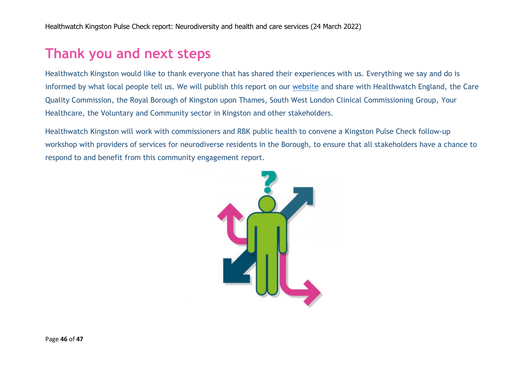# **Thank you and next steps**

Healthwatch Kingston would like to thank everyone that has shared their experiences with us. Everything we say and do is informed by what local people tell us. We will publish this report on our [website](http://www.healthwatchkingston.org.uk/) and share with Healthwatch England, the Care Quality Commission, the Royal Borough of Kingston upon Thames, South West London Clinical Commissioning Group, Your Healthcare, the Voluntary and Community sector in Kingston and other stakeholders.

Healthwatch Kingston will work with commissioners and RBK public health to convene a Kingston Pulse Check follow-up workshop with providers of services for neurodiverse residents in the Borough, to ensure that all stakeholders have a chance to respond to and benefit from this community engagement report.